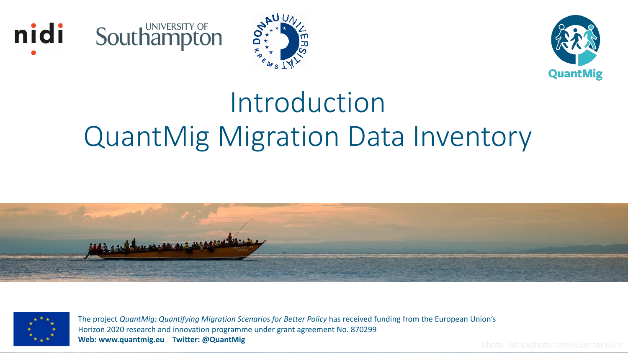





# Introduction QuantMig Migration Data Inventory





The project *QuantMig: Quantifying Migration Scenarios for Better Policy* has received funding from the European Union's Horizon 2020 research and innovation programme under grant agreement No. 870299 **Web: www.quantmig.eu Twitter: @QuantMig** photo: iStockphoto.com/Guenter Guni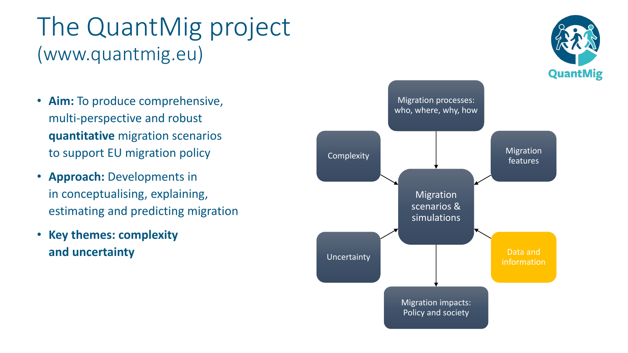#### The QuantMig project (www.quantmig.eu)

- **Aim:** To produce comprehensive, multi-perspective and robust **quantitative** migration scenarios to support EU migration policy
- **Approach:** Developments in in conceptualising, explaining, estimating and predicting migration
- **Key themes: complexity and uncertainty**



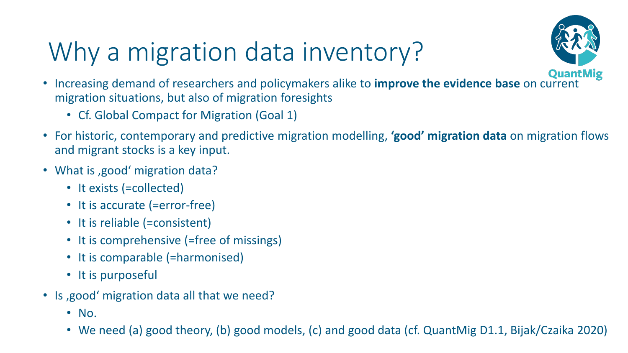# Why a migration data inventory?



- Increasing demand of researchers and policymakers alike to **improve the evidence base** on current migration situations, but also of migration foresights
	- Cf. Global Compact for Migration (Goal 1)
- For historic, contemporary and predictive migration modelling, **'good' migration data** on migration flows and migrant stocks is a key input.
- What is ,good' migration data?
	- It exists (=collected)
	- It is accurate (=error-free)
	- It is reliable (=consistent)
	- It is comprehensive (=free of missings)
	- It is comparable (=harmonised)
	- It is purposeful
- Is , good 'migration data all that we need?
	- No.
	- We need (a) good theory, (b) good models, (c) and good data (cf. QuantMig D1.1, Bijak/Czaika 2020)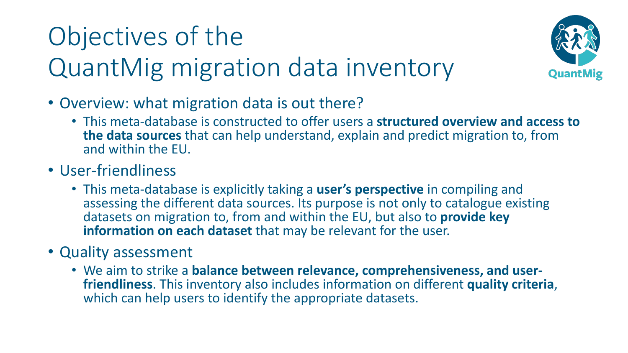# Objectives of the QuantMig migration data inventory



- Overview: what migration data is out there?
	- This meta-database is constructed to offer users a **structured overview and access to the data sources** that can help understand, explain and predict migration to, from and within the EU.
- User-friendliness
	- This meta-database is explicitly taking a **user's perspective** in compiling and assessing the different data sources. Its purpose is not only to catalogue existing datasets on migration to, from and within the EU, but also to **provide key information on each dataset** that may be relevant for the user.
- Quality assessment
	- We aim to strike a **balance between relevance, comprehensiveness, and userfriendliness**. This inventory also includes information on different **quality criteria**, which can help users to identify the appropriate datasets.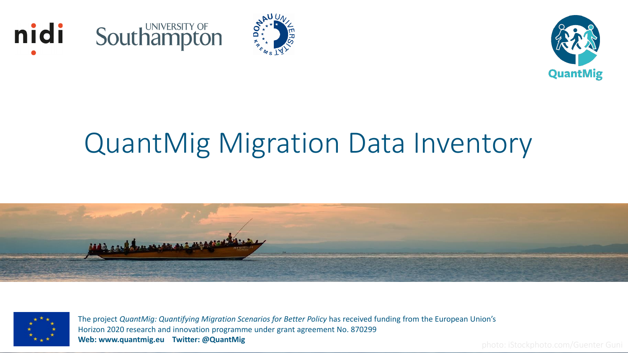





# QuantMig Migration Data Inventory





The project *QuantMig: Quantifying Migration Scenarios for Better Policy* has received funding from the European Union's Horizon 2020 research and innovation programme under grant agreement No. 870299 **Web: www.quantmig.eu Twitter: @QuantMig** photo: iStockphoto.com/Guenter Guni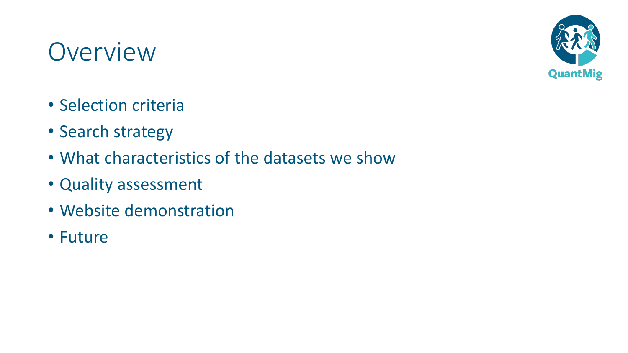

#### **Overview**

- Selection criteria
- Search strategy
- What characteristics of the datasets we show
- Quality assessment
- Website demonstration
- Future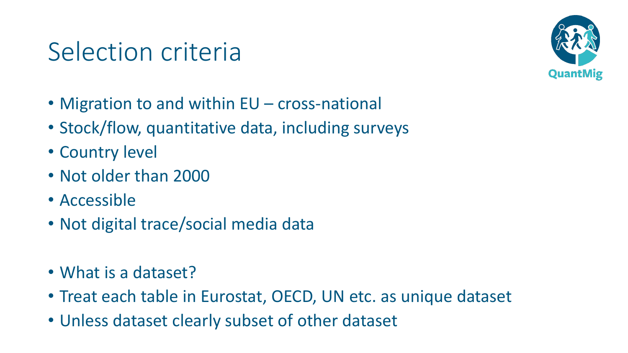#### Selection criteria



- Migration to and within EU cross-national
- Stock/flow, quantitative data, including surveys
- Country level
- Not older than 2000
- Accessible
- Not digital trace/social media data
- What is a dataset?
- Treat each table in Eurostat, OECD, UN etc. as unique dataset
- Unless dataset clearly subset of other dataset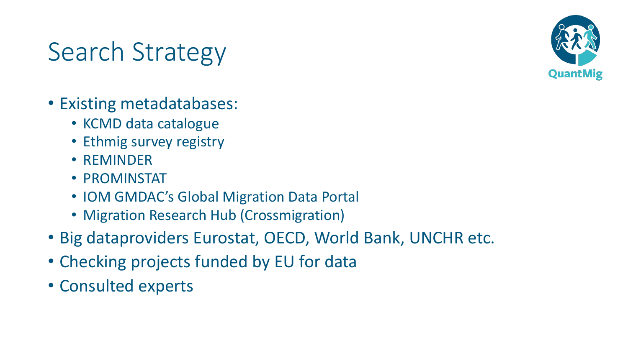

## Search Strategy

- Existing metadatabases:
	- KCMD data catalogue
	- Ethmig survey registry
	- REMINDER
	- PROMINSTAT
	- IOM GMDAC's Global Migration Data Portal
	- Migration Research Hub (Crossmigration)
- Big dataproviders Eurostat, OECD, World Bank, UNCHR etc.
- Checking projects funded by EU for data
- Consulted experts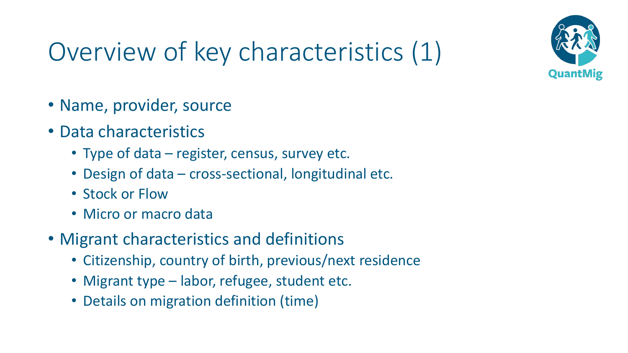

# Overview of key characteristics (1)

- Name, provider, source
- Data characteristics
	- Type of data register, census, survey etc.
	- Design of data cross-sectional, longitudinal etc.
	- Stock or Flow
	- Micro or macro data
- Migrant characteristics and definitions
	- Citizenship, country of birth, previous/next residence
	- Migrant type labor, refugee, student etc.
	- Details on migration definition (time)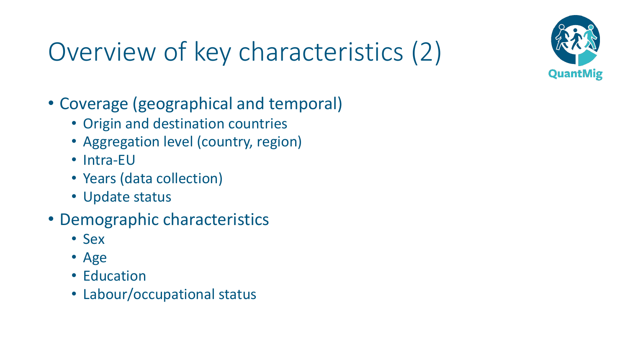

# Overview of key characteristics (2)

- Coverage (geographical and temporal)
	- Origin and destination countries
	- Aggregation level (country, region)
	- Intra-EU
	- Years (data collection)
	- Update status
- Demographic characteristics
	- Sex
	- Age
	- Education
	- Labour/occupational status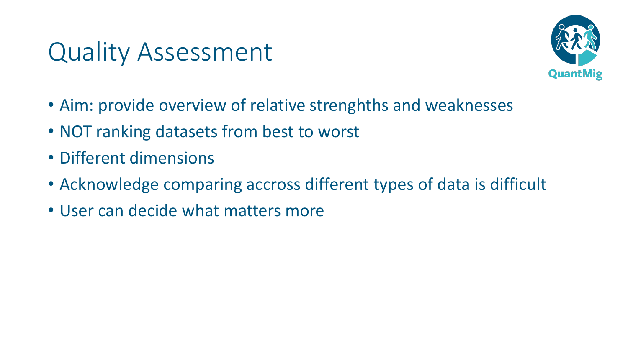#### Quality Assessment



- Aim: provide overview of relative strenghths and weaknesses
- NOT ranking datasets from best to worst
- Different dimensions
- Acknowledge comparing accross different types of data is difficult
- User can decide what matters more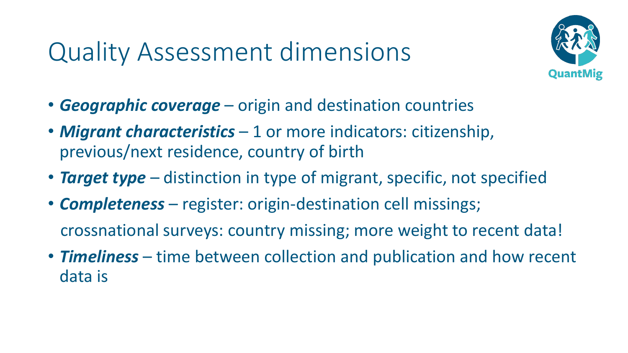## Quality Assessment dimensions



- *Geographic coverage* origin and destination countries
- *Migrant characteristics* 1 or more indicators: citizenship, previous/next residence, country of birth
- **Target type** distinction in type of migrant, specific, not specified
- *Completeness* register: origin-destination cell missings; crossnational surveys: country missing; more weight to recent data!
- *Timeliness* time between collection and publication and how recent data is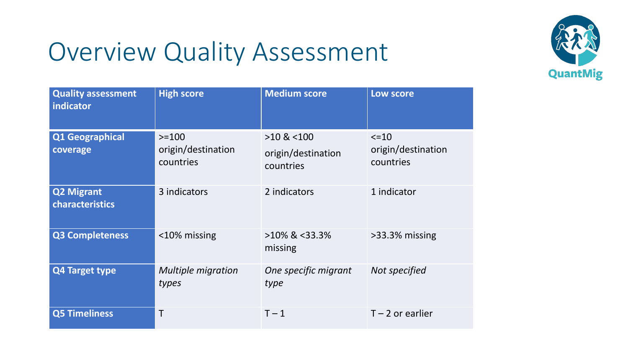## Overview Quality Assessment



| <b>Quality assessment</b><br>indicator | <b>High score</b>                          | <b>Medium score</b>                                | Low score                                     |
|----------------------------------------|--------------------------------------------|----------------------------------------------------|-----------------------------------------------|
| Q1 Geographical<br>coverage            | $>=100$<br>origin/destination<br>countries | $>10$ & $< 100$<br>origin/destination<br>countries | $\le$ = 10<br>origin/destination<br>countries |
| <b>Q2 Migrant</b><br>characteristics   | 3 indicators                               | 2 indicators                                       | 1 indicator                                   |
| <b>Q3 Completeness</b>                 | <10% missing                               | $>10\%$ & <33.3%<br>missing                        | >33.3% missing                                |
| <b>Q4 Target type</b>                  | <b>Multiple migration</b><br>types         | One specific migrant<br>type                       | Not specified                                 |
| <b>Q5 Timeliness</b>                   | Τ                                          | $T - 1$                                            | $T - 2$ or earlier                            |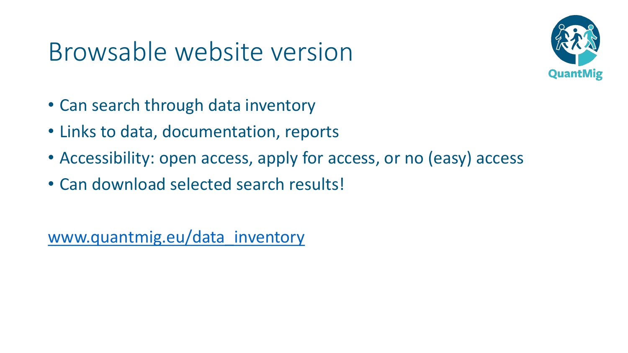#### Browsable website version



- Can search through data inventory
- Links to data, documentation, reports
- Accessibility: open access, apply for access, or no (easy) access
- Can download selected search results!

[www.quantmig.eu/data\\_inventory](http://www.quantmig.eu/data_inventory)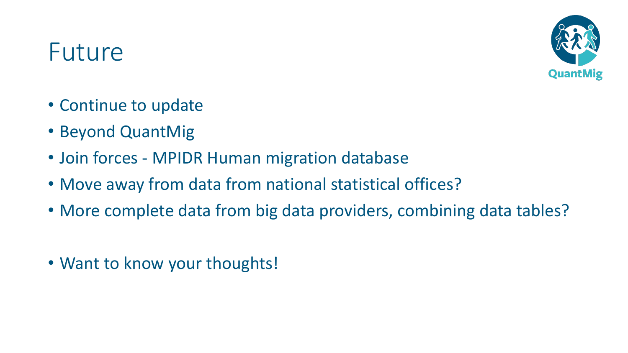

#### Future

- Continue to update
- Beyond QuantMig
- Join forces MPIDR Human migration database
- Move away from data from national statistical offices?
- More complete data from big data providers, combining data tables?
- Want to know your thoughts!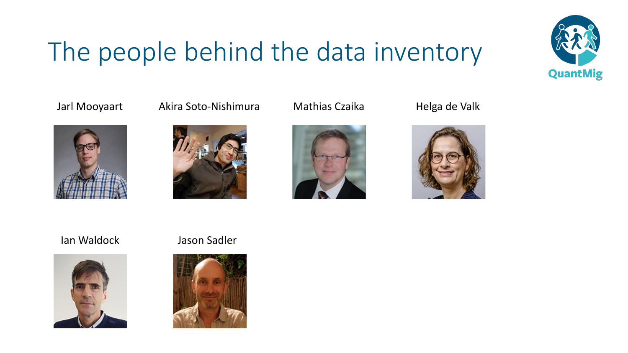# The people behind the data inventory





Jarl Mooyaart Akira Soto-Nishimura Mathias Czaika Helga de Valk







#### Ian Waldock Jason Sadler